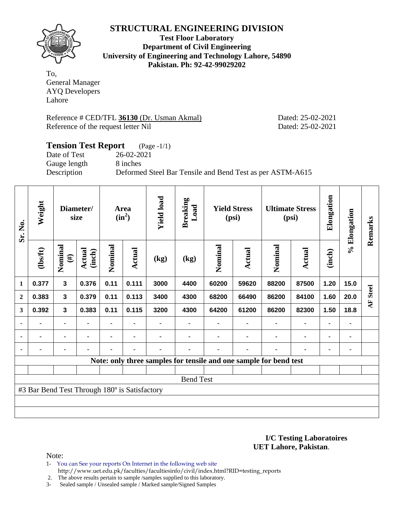

**Test Floor Laboratory Department of Civil Engineering University of Engineering and Technology Lahore, 54890 Pakistan. Ph: 92-42-99029202** 

To, General Manager AYQ Developers Lahore

Reference # CED/TFL **36130** (Dr. Usman Akmal) Dated: 25-02-2021 Reference of the request letter Nil Dated: 25-02-2021

# **Tension Test Report** (Page -1/1) Date of Test 26-02-2021 Gauge length 8 inches Description Deformed Steel Bar Tensile and Bend Test as per ASTM-A615

| Sr. No.          | Weight                                        | Diameter/<br>size |                         |         | Area<br>$(in^2)$ | <b>Yield load</b> | <b>Breaking</b><br>Load                                           | <b>Yield Stress</b><br>(psi) |        |                | <b>Ultimate Stress</b><br>(psi) | Elongation     | % Elongation | Remarks            |
|------------------|-----------------------------------------------|-------------------|-------------------------|---------|------------------|-------------------|-------------------------------------------------------------------|------------------------------|--------|----------------|---------------------------------|----------------|--------------|--------------------|
|                  | (1bsft)                                       | Nominal<br>$(\#)$ | <b>Actual</b><br>(inch) | Nominal | <b>Actual</b>    | (kg)              | (kg)                                                              | Nominal                      | Actual | Nominal        | <b>Actual</b>                   | (inch)         |              |                    |
| $\mathbf{1}$     | 0.377                                         | $\mathbf{3}$      | 0.376                   | 0.11    | 0.111            | 3000              | 4400                                                              | 60200                        | 59620  | 88200          | 87500                           | 1.20           | 15.0         |                    |
| $\boldsymbol{2}$ | 0.383                                         | 3                 | 0.379                   | 0.11    | 0.113            | 3400              | 4300                                                              | 68200                        | 66490  | 86200          | 84100                           | 1.60           | 20.0         | <b>Steel</b><br>AF |
| 3                | 0.392                                         | 3                 | 0.383                   | 0.11    | 0.115            | 3200              | 4300                                                              | 64200                        | 61200  | 86200          | 82300                           | 1.50           | 18.8         |                    |
| ۰                | $\blacksquare$                                | $\blacksquare$    |                         |         |                  |                   |                                                                   |                              |        | $\blacksquare$ | $\blacksquare$                  | $\blacksquare$ | ۰            |                    |
| $\blacksquare$   | $\blacksquare$                                |                   |                         |         | $\blacksquare$   |                   |                                                                   |                              |        | $\blacksquare$ | $\blacksquare$                  |                | ۰            |                    |
| $\blacksquare$   | ۰                                             | ۰                 |                         |         | $\blacksquare$   | -                 |                                                                   |                              | ٠      | $\blacksquare$ | -                               | ۰              | ٠            |                    |
|                  |                                               |                   |                         |         |                  |                   | Note: only three samples for tensile and one sample for bend test |                              |        |                |                                 |                |              |                    |
|                  |                                               |                   |                         |         |                  |                   |                                                                   |                              |        |                |                                 |                |              |                    |
|                  | <b>Bend Test</b>                              |                   |                         |         |                  |                   |                                                                   |                              |        |                |                                 |                |              |                    |
|                  | #3 Bar Bend Test Through 180° is Satisfactory |                   |                         |         |                  |                   |                                                                   |                              |        |                |                                 |                |              |                    |
|                  |                                               |                   |                         |         |                  |                   |                                                                   |                              |        |                |                                 |                |              |                    |
|                  |                                               |                   |                         |         |                  |                   |                                                                   |                              |        |                |                                 |                |              |                    |

**I/C Testing Laboratoires UET Lahore, Pakistan**.

- 1- You can See your reports On Internet in the following web site http://www.uet.edu.pk/faculties/facultiesinfo/civil/index.html?RID=testing\_reports
- 2. The above results pertain to sample /samples supplied to this laboratory.
- 3- Sealed sample / Unsealed sample / Marked sample/Signed Samples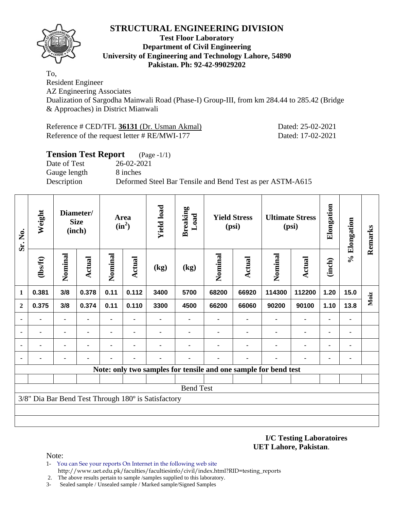

#### **Test Floor Laboratory Department of Civil Engineering University of Engineering and Technology Lahore, 54890 Pakistan. Ph: 92-42-99029202**

To,

Resident Engineer AZ Engineering Associates Dualization of Sargodha Mainwali Road (Phase-I) Group-III, from km 284.44 to 285.42 (Bridge & Approaches) in District Mianwali

Reference # CED/TFL **36131** (Dr. Usman Akmal) Dated: 25-02-2021 Reference of the request letter # RE/MWI-177 Dated: 17-02-2021

| <b>Tension Test Report</b> | $(Page - 1/1)$                                            |
|----------------------------|-----------------------------------------------------------|
| Date of Test               | 26-02-2021                                                |
| Gauge length               | 8 inches                                                  |
| Description                | Deformed Steel Bar Tensile and Bend Test as per ASTM-A615 |
|                            |                                                           |

| Sr. No.      | Weight                                              |                | Diameter/<br><b>Size</b><br>(inch) |         | <b>Yield load</b><br><b>Breaking</b><br>Load<br><b>Yield Stress</b><br>Area<br>$(in^2)$<br>(psi) |      | <b>Ultimate Stress</b><br>(psi) |         | Elongation     | % Elongation                                                    | Remarks                      |                |      |      |
|--------------|-----------------------------------------------------|----------------|------------------------------------|---------|--------------------------------------------------------------------------------------------------|------|---------------------------------|---------|----------------|-----------------------------------------------------------------|------------------------------|----------------|------|------|
|              | (1bsft)                                             | Nominal        | <b>Actual</b>                      | Nominal | Actual                                                                                           | (kg) | (kg)                            | Nominal | <b>Actual</b>  | Nominal                                                         | <b>Actual</b>                | (inch)         |      |      |
| 1            | 0.381                                               | 3/8            | 0.378                              | 0.11    | 0.112                                                                                            | 3400 | 5700                            | 68200   | 66920          | 114300                                                          | 112200                       | 1.20           | 15.0 | Moiz |
| $\mathbf{2}$ | 0.375                                               | 3/8            | 0.374                              | 0.11    | 0.110                                                                                            | 3300 | 4500                            | 66200   | 66060          | 90200                                                           | 90100                        | 1.10           | 13.8 |      |
|              |                                                     | ۰              |                                    |         | ٠                                                                                                |      |                                 |         | ۰              | $\blacksquare$                                                  | $\blacksquare$               | $\blacksquare$ | ۰    |      |
|              | $\blacksquare$                                      | $\blacksquare$ |                                    |         | $\blacksquare$                                                                                   |      |                                 |         | $\blacksquare$ | $\blacksquare$                                                  | $\qquad \qquad \blacksquare$ | $\blacksquare$ | ٠    |      |
|              |                                                     |                |                                    |         |                                                                                                  |      |                                 |         |                |                                                                 | ۰                            | $\blacksquare$ | ٠    |      |
|              |                                                     |                |                                    |         |                                                                                                  |      |                                 |         |                |                                                                 |                              | -              | -    |      |
|              |                                                     |                |                                    |         |                                                                                                  |      |                                 |         |                | Note: only two samples for tensile and one sample for bend test |                              |                |      |      |
|              |                                                     |                |                                    |         |                                                                                                  |      |                                 |         |                |                                                                 |                              |                |      |      |
|              |                                                     |                |                                    |         |                                                                                                  |      | <b>Bend Test</b>                |         |                |                                                                 |                              |                |      |      |
|              | 3/8" Dia Bar Bend Test Through 180° is Satisfactory |                |                                    |         |                                                                                                  |      |                                 |         |                |                                                                 |                              |                |      |      |
|              |                                                     |                |                                    |         |                                                                                                  |      |                                 |         |                |                                                                 |                              |                |      |      |
|              |                                                     |                |                                    |         |                                                                                                  |      |                                 |         |                |                                                                 |                              |                |      |      |

**I/C Testing Laboratoires UET Lahore, Pakistan**.

Note:

1- You can See your reports On Internet in the following web site http://www.uet.edu.pk/faculties/facultiesinfo/civil/index.html?RID=testing\_reports

2. The above results pertain to sample /samples supplied to this laboratory.

3- Sealed sample / Unsealed sample / Marked sample/Signed Samples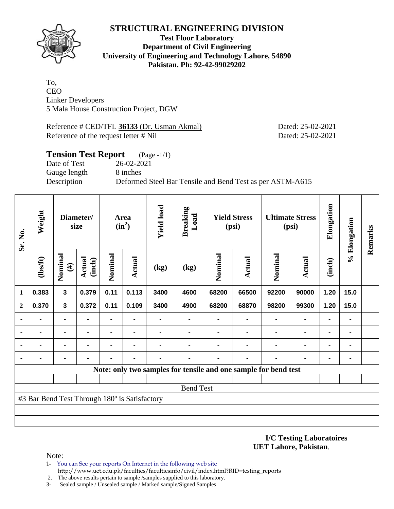

#### **Test Floor Laboratory Department of Civil Engineering University of Engineering and Technology Lahore, 54890 Pakistan. Ph: 92-42-99029202**

To, CEO Linker Developers 5 Mala House Construction Project, DGW

Reference # CED/TFL **36133** (Dr. Usman Akmal) Dated: 25-02-2021 Reference of the request letter # Nil Dated: 25-02-2021

# **Tension Test Report** (Page -1/1) Date of Test 26-02-2021 Gauge length 8 inches Description Deformed Steel Bar Tensile and Bend Test as per ASTM-A615

| Sr. No.      | Weight                                        | Diameter/<br>size       |                         | Area<br>$(in^2)$ |                | <b>Yield load</b> | <b>Breaking</b><br>Load                                         | <b>Yield Stress</b><br>(psi) |        | <b>Ultimate Stress</b><br>(psi) |                | Elongation     | % Elongation | Remarks |
|--------------|-----------------------------------------------|-------------------------|-------------------------|------------------|----------------|-------------------|-----------------------------------------------------------------|------------------------------|--------|---------------------------------|----------------|----------------|--------------|---------|
|              | $\frac{2}{10}$                                | Nominal<br>$(\#)$       | <b>Actual</b><br>(inch) | Nominal          | Actual         | (kg)              | (kg)                                                            | Nominal                      | Actual | Nominal                         | Actual         | (inch)         |              |         |
| $\mathbf 1$  | 0.383                                         | $\overline{\mathbf{3}}$ | 0.379                   | 0.11             | 0.113          | 3400              | 4600                                                            | 68200                        | 66500  | 92200                           | 90000          | 1.20           | 15.0         |         |
| $\mathbf{2}$ | 0.370                                         | $\mathbf{3}$            | 0.372                   | 0.11             | 0.109          | 3400              | 4900                                                            | 68200                        | 68870  | 98200                           | 99300          | 1.20           | 15.0         |         |
|              |                                               | $\blacksquare$          |                         | $\blacksquare$   |                |                   | $\blacksquare$                                                  |                              |        |                                 |                |                | ٠            |         |
|              |                                               | ٠                       |                         | ۰                |                |                   |                                                                 |                              |        |                                 | ٠              |                | ۰            |         |
|              |                                               | $\blacksquare$          |                         | ۰                | $\blacksquare$ |                   |                                                                 |                              |        |                                 | $\blacksquare$ | $\blacksquare$ | ٠            |         |
|              |                                               |                         |                         |                  |                |                   |                                                                 |                              |        |                                 |                |                | ٠            |         |
|              |                                               |                         |                         |                  |                |                   | Note: only two samples for tensile and one sample for bend test |                              |        |                                 |                |                |              |         |
|              |                                               |                         |                         |                  |                |                   |                                                                 |                              |        |                                 |                |                |              |         |
|              | <b>Bend Test</b>                              |                         |                         |                  |                |                   |                                                                 |                              |        |                                 |                |                |              |         |
|              | #3 Bar Bend Test Through 180° is Satisfactory |                         |                         |                  |                |                   |                                                                 |                              |        |                                 |                |                |              |         |
|              |                                               |                         |                         |                  |                |                   |                                                                 |                              |        |                                 |                |                |              |         |
|              |                                               |                         |                         |                  |                |                   |                                                                 |                              |        |                                 |                |                |              |         |

**I/C Testing Laboratoires UET Lahore, Pakistan**.

- 1- You can See your reports On Internet in the following web site http://www.uet.edu.pk/faculties/facultiesinfo/civil/index.html?RID=testing\_reports
- 2. The above results pertain to sample /samples supplied to this laboratory.
- 3- Sealed sample / Unsealed sample / Marked sample/Signed Samples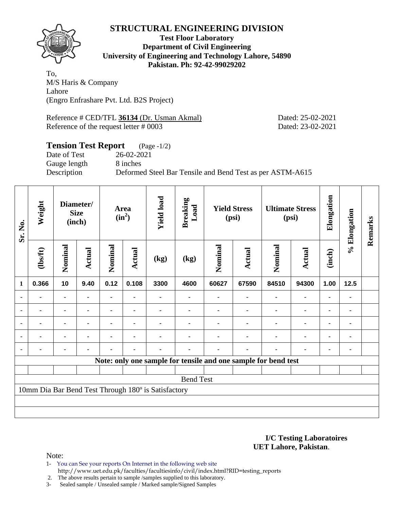

**Test Floor Laboratory Department of Civil Engineering University of Engineering and Technology Lahore, 54890 Pakistan. Ph: 92-42-99029202** 

To, M/S Haris & Company Lahore (Engro Enfrashare Pvt. Ltd. B2S Project)

Reference # CED/TFL **36134** (Dr. Usman Akmal) Dated: 25-02-2021 Reference of the request letter # 0003 Dated: 23-02-2021

### **Tension Test Report** (Page -1/2) Date of Test 26-02-2021 Gauge length 8 inches Description Deformed Steel Bar Tensile and Bend Test as per ASTM-A615

| Sr. No.      | Weight                                                         | Diameter/<br><b>Size</b><br>(inch) |                | Area<br>$(in^2)$ |                | <b>Yield load</b> | <b>Breaking</b><br>Load | <b>Yield Stress</b><br>(psi) |                |         | <b>Ultimate Stress</b><br>(psi) | Elongation     | % Elongation | Remarks |
|--------------|----------------------------------------------------------------|------------------------------------|----------------|------------------|----------------|-------------------|-------------------------|------------------------------|----------------|---------|---------------------------------|----------------|--------------|---------|
|              | (1bsft)                                                        | Nominal                            | Actual         | Nominal          | Actual         | (kg)              | (kg)                    | Nominal                      | <b>Actual</b>  | Nominal | <b>Actual</b>                   | (inch)         |              |         |
| $\mathbf{1}$ | 0.366                                                          | 10                                 | 9.40           | 0.12             | 0.108          | 3300              | 4600                    | 60627                        | 67590          | 84510   | 94300                           | 1.00           | 12.5         |         |
|              |                                                                |                                    |                |                  |                |                   |                         |                              |                |         | $\blacksquare$                  |                |              |         |
| ٠            | -                                                              | $\blacksquare$                     |                |                  |                |                   |                         |                              |                |         | ۰                               | ۰              |              |         |
| ٠            | $\blacksquare$                                                 |                                    | $\blacksquare$ |                  |                |                   |                         |                              |                | ÷       | $\blacksquare$                  | $\blacksquare$ |              |         |
|              | ۰                                                              | $\blacksquare$                     | $\blacksquare$ | -                | $\blacksquare$ |                   |                         |                              |                | ٠       | $\blacksquare$                  | ۰              | ۰            |         |
|              |                                                                | ۰                                  | $\blacksquare$ |                  | ٠              |                   |                         |                              | $\blacksquare$ | ٠       | ۰                               | $\blacksquare$ |              |         |
|              | Note: only one sample for tensile and one sample for bend test |                                    |                |                  |                |                   |                         |                              |                |         |                                 |                |              |         |
|              |                                                                |                                    |                |                  |                |                   |                         |                              |                |         |                                 |                |              |         |
|              | <b>Bend Test</b>                                               |                                    |                |                  |                |                   |                         |                              |                |         |                                 |                |              |         |
|              | 10mm Dia Bar Bend Test Through 180° is Satisfactory            |                                    |                |                  |                |                   |                         |                              |                |         |                                 |                |              |         |
|              |                                                                |                                    |                |                  |                |                   |                         |                              |                |         |                                 |                |              |         |
|              |                                                                |                                    |                |                  |                |                   |                         |                              |                |         |                                 |                |              |         |

**I/C Testing Laboratoires UET Lahore, Pakistan**.

- 1- You can See your reports On Internet in the following web site http://www.uet.edu.pk/faculties/facultiesinfo/civil/index.html?RID=testing\_reports
- 2. The above results pertain to sample /samples supplied to this laboratory.
- 3- Sealed sample / Unsealed sample / Marked sample/Signed Samples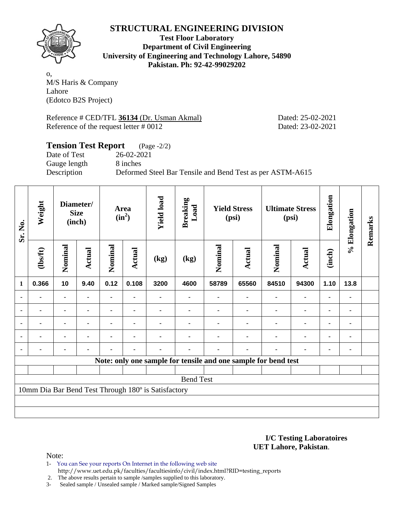

**Test Floor Laboratory Department of Civil Engineering University of Engineering and Technology Lahore, 54890 Pakistan. Ph: 92-42-99029202** 

o, M/S Haris & Company Lahore (Edotco B2S Project)

Reference # CED/TFL **36134** (Dr. Usman Akmal) Dated: 25-02-2021 Reference of the request letter # 0012 Dated: 23-02-2021

## **Tension Test Report** (Page -2/2) Date of Test 26-02-2021 Gauge length 8 inches Description Deformed Steel Bar Tensile and Bend Test as per ASTM-A615

| Sr. No.        | Weight                                              | Diameter/<br><b>Size</b><br>(inch) |               |         | <b>Yield load</b><br>Area<br>$(in^2)$ |      | <b>Breaking</b><br>Load                                        | <b>Yield Stress</b><br>(psi) |               |         | <b>Ultimate Stress</b><br>(psi) | Elongation     | % Elongation | Remarks |
|----------------|-----------------------------------------------------|------------------------------------|---------------|---------|---------------------------------------|------|----------------------------------------------------------------|------------------------------|---------------|---------|---------------------------------|----------------|--------------|---------|
|                | (1bsft)                                             | Nominal                            | <b>Actual</b> | Nominal | <b>Actual</b>                         | (kg) | (kg)                                                           | Nominal                      | <b>Actual</b> | Nominal | <b>Actual</b>                   | (inch)         |              |         |
| $\mathbf 1$    | 0.366                                               | 10                                 | 9.40          | 0.12    | 0.108                                 | 3200 | 4600                                                           | 58789                        | 65560         | 84510   | 94300                           | 1.10           | 13.8         |         |
| $\blacksquare$ |                                                     | ۰                                  |               |         |                                       |      |                                                                |                              |               |         |                                 | ٠              |              |         |
| ٠              | -                                                   |                                    |               |         |                                       |      |                                                                |                              |               |         |                                 | ٠              |              |         |
| $\blacksquare$ | $\blacksquare$                                      | ۰                                  |               |         | $\blacksquare$                        |      |                                                                |                              |               |         | $\blacksquare$                  | $\blacksquare$ |              |         |
| $\blacksquare$ |                                                     | ۰                                  |               |         | $\blacksquare$                        |      |                                                                |                              |               |         | ۰                               | ٠              |              |         |
|                |                                                     | ä,                                 |               |         | $\blacksquare$                        |      |                                                                |                              |               |         | $\blacksquare$                  | $\blacksquare$ |              |         |
|                |                                                     |                                    |               |         |                                       |      | Note: only one sample for tensile and one sample for bend test |                              |               |         |                                 |                |              |         |
|                |                                                     |                                    |               |         |                                       |      |                                                                |                              |               |         |                                 |                |              |         |
|                | <b>Bend Test</b>                                    |                                    |               |         |                                       |      |                                                                |                              |               |         |                                 |                |              |         |
|                | 10mm Dia Bar Bend Test Through 180° is Satisfactory |                                    |               |         |                                       |      |                                                                |                              |               |         |                                 |                |              |         |
|                |                                                     |                                    |               |         |                                       |      |                                                                |                              |               |         |                                 |                |              |         |
|                |                                                     |                                    |               |         |                                       |      |                                                                |                              |               |         |                                 |                |              |         |

**I/C Testing Laboratoires UET Lahore, Pakistan**.

Note:

1- You can See your reports On Internet in the following web site http://www.uet.edu.pk/faculties/facultiesinfo/civil/index.html?RID=testing\_reports

2. The above results pertain to sample /samples supplied to this laboratory.

3- Sealed sample / Unsealed sample / Marked sample/Signed Samples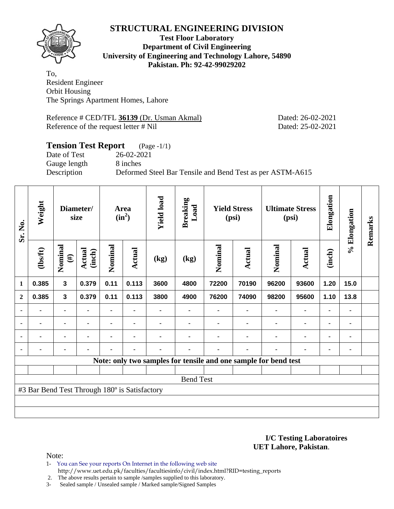

**Test Floor Laboratory Department of Civil Engineering University of Engineering and Technology Lahore, 54890 Pakistan. Ph: 92-42-99029202** 

To, Resident Engineer Orbit Housing The Springs Apartment Homes, Lahore

Reference # CED/TFL **36139** (Dr. Usman Akmal) Dated: 26-02-2021 Reference of the request letter # Nil Dated: 25-02-2021

### **Tension Test Report** (Page -1/1) Date of Test 26-02-2021 Gauge length 8 inches Description Deformed Steel Bar Tensile and Bend Test as per ASTM-A615

| Sr. No.        | Weight                                        | Diameter/<br>size       |                  | Area<br>$(in^2)$ |                | <b>Yield load</b> | <b>Breaking</b><br>Load                                         | <b>Yield Stress</b><br>(psi) |                | <b>Ultimate Stress</b><br>(psi) |                | Elongation     | % Elongation | Remarks |
|----------------|-----------------------------------------------|-------------------------|------------------|------------------|----------------|-------------------|-----------------------------------------------------------------|------------------------------|----------------|---------------------------------|----------------|----------------|--------------|---------|
|                | (1bsft)                                       | Nominal<br>$(\#)$       | Actual<br>(inch) | Nominal          | Actual         | (kg)              | (kg)                                                            | Nominal                      | Actual         | Nominal                         | <b>Actual</b>  | (inch)         |              |         |
| $\mathbf{1}$   | 0.385                                         | $\overline{\mathbf{3}}$ | 0.379            | 0.11             | 0.113          | 3600              | 4800                                                            | 72200                        | 70190          | 96200                           | 93600          | 1.20           | 15.0         |         |
| $\mathbf{2}$   | 0.385                                         | 3                       | 0.379            | 0.11             | 0.113          | 3800              | 4900                                                            | 76200                        | 74090          | 98200                           | 95600          | 1.10           | 13.8         |         |
|                |                                               | $\blacksquare$          |                  |                  |                |                   |                                                                 |                              |                |                                 | $\blacksquare$ | $\blacksquare$ | ٠            |         |
| $\blacksquare$ | $\blacksquare$                                | ٠                       | $\blacksquare$   |                  | $\blacksquare$ |                   |                                                                 |                              |                | $\blacksquare$                  | $\blacksquare$ |                | ۰            |         |
|                | $\blacksquare$                                |                         | $\blacksquare$   |                  | $\blacksquare$ |                   |                                                                 |                              |                | $\blacksquare$                  | $\blacksquare$ |                | ۰            |         |
|                | -                                             | $\blacksquare$          | $\blacksquare$   | $\blacksquare$   | $\blacksquare$ | -                 |                                                                 |                              | $\blacksquare$ | $\blacksquare$                  | $\blacksquare$ | $\blacksquare$ | ٠            |         |
|                |                                               |                         |                  |                  |                |                   | Note: only two samples for tensile and one sample for bend test |                              |                |                                 |                |                |              |         |
|                |                                               |                         |                  |                  |                |                   |                                                                 |                              |                |                                 |                |                |              |         |
|                |                                               |                         |                  |                  |                |                   | <b>Bend Test</b>                                                |                              |                |                                 |                |                |              |         |
|                | #3 Bar Bend Test Through 180° is Satisfactory |                         |                  |                  |                |                   |                                                                 |                              |                |                                 |                |                |              |         |
|                |                                               |                         |                  |                  |                |                   |                                                                 |                              |                |                                 |                |                |              |         |
|                |                                               |                         |                  |                  |                |                   |                                                                 |                              |                |                                 |                |                |              |         |

#### **I/C Testing Laboratoires UET Lahore, Pakistan**.

- 1- You can See your reports On Internet in the following web site http://www.uet.edu.pk/faculties/facultiesinfo/civil/index.html?RID=testing\_reports
- 2. The above results pertain to sample /samples supplied to this laboratory.
- 3- Sealed sample / Unsealed sample / Marked sample/Signed Samples